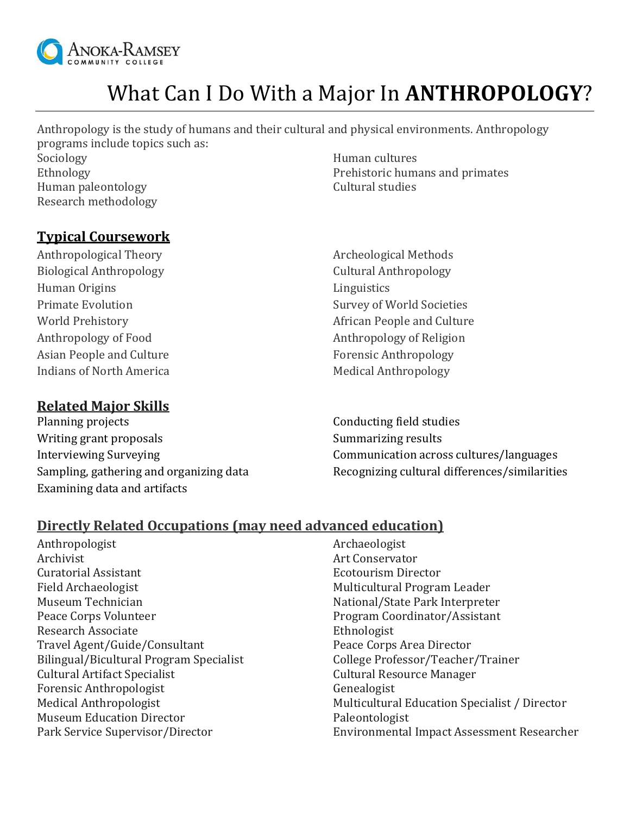

# What Can I Do With a Major In **ANTHROPOLOGY**?

Anthropology is the study of humans and their cultural and physical environments. Anthropology programs include topics such as:

Sociology **Human** cultures Human paleontology example of the Cultural studies Research methodology

Ethnology Prehistoric humans and primates

### **Typical Coursework**

Anthropological Theory **Archeological Methods** Biological Anthropology **Cultural Anthropology** Human Origins **Linguistics** Anthropology of Food Anthropology of Religion Asian People and Culture Forensic Anthropology Indians of North America Medical Anthropology

### **Related Major Skills**

Planning projects Writing grant proposals Interviewing Surveying Sampling, gathering and organizing data Examining data and artifacts

Primate Evolution **Survey of World Societies** World Prehistory **African People and Culture** 

> Conducting field studies Summarizing results Communication across cultures/languages Recognizing cultural differences/similarities

#### **Directly Related Occupations (may need advanced education)**

- Anthropologist **Anthropologist** Archaeologist Archivist Art Conservator Curatorial Assistant Ecotourism Director Field Archaeologist Multicultural Program Leader Museum Technician National/State Park Interpreter Peace Corps Volunteer **Program Coordinator/Assistant** Research Associate **Ethnologist** Ethnologist Travel Agent/Guide/Consultant Peace Corps Area Director Bilingual/Bicultural Program Specialist College Professor/Teacher/Trainer Cultural Artifact Specialist Cultural Resource Manager Forensic Anthropologist Genealogist Museum Education Director **Paleontologist**
- Medical Anthropologist **Multicultural Education Specialist** / Director Park Service Supervisor/Director Environmental Impact Assessment Researcher